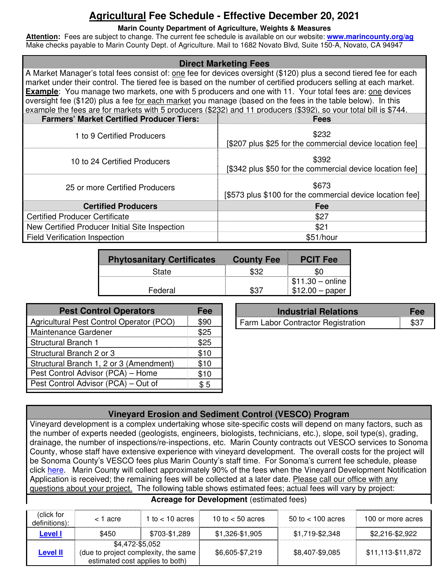# **Agricultural Fee Schedule - Effective December 20, 2021**

#### **Marin County Department of Agriculture, Weights & Measures**

**Attention:** Fees are subject to change. The current fee schedule is available on our website: **www.marincounty.org/ag**  Make checks payable to Marin County Dept. of Agriculture. Mail to 1682 Novato Blvd, Suite 150-A, Novato, CA 94947

| <b>Direct Marketing Fees</b>                                                                                                                                                                                                                                                                                                                                                                                                                                                                                                                                                                                                                                          |                                                                   |  |  |  |  |
|-----------------------------------------------------------------------------------------------------------------------------------------------------------------------------------------------------------------------------------------------------------------------------------------------------------------------------------------------------------------------------------------------------------------------------------------------------------------------------------------------------------------------------------------------------------------------------------------------------------------------------------------------------------------------|-------------------------------------------------------------------|--|--|--|--|
| A Market Manager's total fees consist of: <u>one</u> fee for devices oversight (\$120) plus a second tiered fee for each<br>market under their control. The tiered fee is based on the number of certified producers selling at each market.<br><b>Example</b> : You manage two markets, one with 5 producers and one with 11. Your total fees are: one devices<br>oversight fee (\$120) plus a fee for each market you manage (based on the fees in the table below). In this<br>example the fees are for markets with 5 producers (\$232) and 11 producers (\$392), so your total bill is \$744.<br><b>Farmers' Market Certified Producer Tiers:</b><br><b>Fees</b> |                                                                   |  |  |  |  |
| 1 to 9 Certified Producers                                                                                                                                                                                                                                                                                                                                                                                                                                                                                                                                                                                                                                            | \$232<br>[\$207 plus \$25 for the commercial device location fee] |  |  |  |  |
| 10 to 24 Certified Producers                                                                                                                                                                                                                                                                                                                                                                                                                                                                                                                                                                                                                                          | \$392<br>[\$342 plus \$50 for the commercial device location fee] |  |  |  |  |
| \$673<br>25 or more Certified Producers<br>[\$573 plus \$100 for the commercial device location fee]                                                                                                                                                                                                                                                                                                                                                                                                                                                                                                                                                                  |                                                                   |  |  |  |  |
| <b>Certified Producers</b><br>Fee                                                                                                                                                                                                                                                                                                                                                                                                                                                                                                                                                                                                                                     |                                                                   |  |  |  |  |
| <b>Certified Producer Certificate</b>                                                                                                                                                                                                                                                                                                                                                                                                                                                                                                                                                                                                                                 | \$27                                                              |  |  |  |  |
| New Certified Producer Initial Site Inspection                                                                                                                                                                                                                                                                                                                                                                                                                                                                                                                                                                                                                        | \$21                                                              |  |  |  |  |
| <b>Field Verification Inspection</b>                                                                                                                                                                                                                                                                                                                                                                                                                                                                                                                                                                                                                                  | \$51/hour                                                         |  |  |  |  |

| <b>Phytosanitary Certificates</b> | <b>County Fee</b> | <b>PCIT Fee</b>   |
|-----------------------------------|-------------------|-------------------|
| State                             |                   |                   |
|                                   |                   | $$11.30 - online$ |
| Federal                           |                   |                   |

| <b>Pest Control Operators</b>            | Fee  |
|------------------------------------------|------|
| Agricultural Pest Control Operator (PCO) | \$90 |
| Maintenance Gardener                     | \$25 |
| Structural Branch 1                      | \$25 |
| Structural Branch 2 or 3                 | \$10 |
| Structural Branch 1, 2 or 3 (Amendment)  | \$10 |
| Pest Control Advisor (PCA) - Home        | \$10 |
| Pest Control Advisor (PCA) - Out of      | -5   |
|                                          |      |

| <b>Industrial Relations</b>        | <b>Fee</b> |
|------------------------------------|------------|
| Farm Labor Contractor Registration | \$37       |

## **Vineyard Erosion and Sediment Control (VESCO) Program**

Vineyard development is a complex undertaking whose site-specific costs will depend on many factors, such as the number of experts needed (geologists, engineers, biologists, technicians, etc.), slope, soil type(s), grading, drainage, the number of inspections/re-inspections, etc. Marin County contracts out VESCO services to Sonoma County, whose staff have extensive experience with vineyard development. The overall costs for the project will be Sonoma County's VESCO fees plus Marin County's staff time. For Sonoma's current fee schedule, please click here. Marin County will collect approximately 90% of the fees when the Vineyard Development Notification Application is received; the remaining fees will be collected at a later date. Please call our office with any questions about your project. The following table shows estimated fees; actual fees will vary by project:

**Acreage for Development** (estimated fees)

| (click for<br>definitions): | < 1 acre                                                                                   | 1 to $<$ 10 acres | 10 to $<$ 50 acres | $50$ to $< 100$ acres | 100 or more acres |
|-----------------------------|--------------------------------------------------------------------------------------------|-------------------|--------------------|-----------------------|-------------------|
| Level I                     | \$450                                                                                      | \$703-\$1,289     | \$1,326-\$1,905    | \$1,719-\$2,348       | \$2,216-\$2,922   |
| <b>Level II</b>             | \$4,472-\$5,052<br>(due to project complexity, the same<br>estimated cost applies to both) |                   | \$6,605-\$7,219    | \$8,407-\$9,085       | \$11,113-\$11,872 |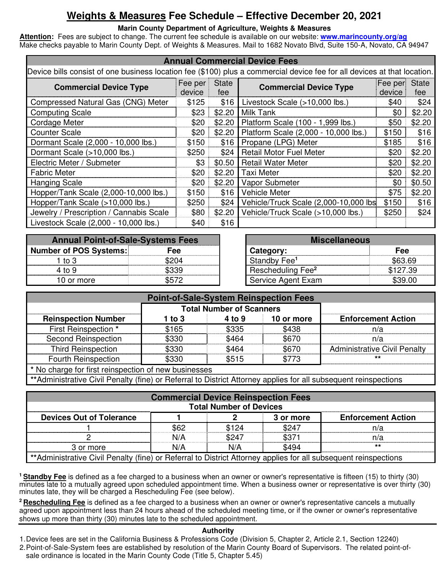## **Weights & Measures Fee Schedule – Effective December 20, 2021**

#### **Marin County Department of Agriculture, Weights & Measures**

**Attention:** Fees are subject to change. The current fee schedule is available on our website: **www.marincounty.org/ag**  Make checks payable to Marin County Dept. of Weights & Measures. Mail to 1682 Novato Blvd, Suite 150-A, Novato, CA 94947

| <b>Annual Commercial Device Fees</b>                                                                                     |                   |                     |                                       |       |                                |  |  |
|--------------------------------------------------------------------------------------------------------------------------|-------------------|---------------------|---------------------------------------|-------|--------------------------------|--|--|
| Device bills consist of one business location fee (\$100) plus a commercial device fee for all devices at that location. |                   |                     |                                       |       |                                |  |  |
| <b>Commercial Device Type</b>                                                                                            | Fee per<br>device | <b>State</b><br>fee | <b>Commercial Device Type</b>         |       | <b>State</b><br>Fee per<br>fee |  |  |
| Compressed Natural Gas (CNG) Meter                                                                                       | \$125             | \$16                | Livestock Scale (>10,000 lbs.)        | \$40  | \$24                           |  |  |
| <b>Computing Scale</b>                                                                                                   | \$23              | \$2.20              | Milk Tank                             | \$0   | \$2.20                         |  |  |
| Cordage Meter                                                                                                            | \$20              | \$2.20              | Platform Scale (100 - 1,999 lbs.)     | \$50  | \$2.20                         |  |  |
| <b>Counter Scale</b>                                                                                                     | \$20              | \$2.20              | Platform Scale (2,000 - 10,000 lbs.)  | \$150 | \$16                           |  |  |
| Dormant Scale (2,000 - 10,000 lbs.)                                                                                      | \$150             | \$16                | Propane (LPG) Meter                   | \$185 | \$16                           |  |  |
| Dormant Scale (>10,000 lbs.)                                                                                             | \$250             | \$24                | <b>Retail Motor Fuel Meter</b>        | \$20  | \$2.20                         |  |  |
| Electric Meter / Submeter                                                                                                | \$3               | \$0.50              | <b>Retail Water Meter</b>             | \$20  | \$2.20                         |  |  |
| <b>Fabric Meter</b>                                                                                                      | \$20              | \$2.20              | <b>Taxi Meter</b>                     | \$20  | \$2.20                         |  |  |
| <b>Hanging Scale</b>                                                                                                     | \$20              | \$2.20              | Vapor Submeter                        | \$0   | \$0.50                         |  |  |
| Hopper/Tank Scale (2,000-10,000 lbs.)                                                                                    | \$150             | \$16                | <b>Vehicle Meter</b>                  | \$75  | \$2.20                         |  |  |
| Hopper/Tank Scale (>10,000 lbs.)                                                                                         | \$250             | \$24                | Vehicle/Truck Scale (2,000-10,000 lbs | \$150 | \$16                           |  |  |
| Jewelry / Prescription / Cannabis Scale                                                                                  | \$80              | \$2.20              | Vehicle/Truck Scale (>10,000 lbs.)    | \$250 | \$24                           |  |  |
| Livestock Scale (2,000 - 10,000 lbs.)                                                                                    | \$40              | \$16                |                                       |       |                                |  |  |

| <b>Annual Point-of-Sale-Systems Fees</b> |            |                               | <b>Miscellaneous</b> |
|------------------------------------------|------------|-------------------------------|----------------------|
| Number of POS Systems:                   | <b>Fee</b> | Category:                     | Fee                  |
| 1 to 3                                   |            | Standby Fee <sup>1</sup>      | 563.1                |
| 4 to 9                                   |            | Rescheduling Fee <sup>2</sup> |                      |
| 10 or more                               |            | Service Agent Exam            | 539.                 |

| nnual Point-of-Sale-Systems Fees |       |                               | <b>Miscellaneous</b> |  |  |
|----------------------------------|-------|-------------------------------|----------------------|--|--|
| r of POS Systems:                | Fee   | Category:                     | Fee                  |  |  |
| 1 to $3$                         | ኔ204  | Standby Fee <sup>1</sup>      | \$63.69              |  |  |
| 4 to 9                           | \$339 | Rescheduling Fee <sup>2</sup> | \$127.39             |  |  |
| 10 or more                       | 6572  | Service Agent Exam            | \$39.00              |  |  |

| <b>Point-of-Sale-System Reinspection Fees</b>                                                                   |        |                                 |            |                                     |
|-----------------------------------------------------------------------------------------------------------------|--------|---------------------------------|------------|-------------------------------------|
|                                                                                                                 |        | <b>Total Number of Scanners</b> |            |                                     |
| <b>Reinspection Number</b>                                                                                      | 1 to 3 | 4 to 9                          | 10 or more | <b>Enforcement Action</b>           |
| First Reinspection *                                                                                            | \$165  | \$335                           | \$438      | n/a                                 |
| <b>Second Reinspection</b>                                                                                      | \$330  | \$464                           | \$670      | n/a                                 |
| <b>Third Reinspection</b>                                                                                       | \$330  | \$464                           | \$670      | <b>Administrative Civil Penalty</b> |
| <b>Fourth Reinspection</b>                                                                                      | \$330  | \$515                           | \$773      | $***$                               |
| * No charge for first reinspection of new businesses                                                            |        |                                 |            |                                     |
| **Administrative Civil Penalty (fine) or Referral to District Attorney applies for all subsequent reinspections |        |                                 |            |                                     |

| <b>Commercial Device Reinspection Fees</b><br><b>Total Number of Devices</b>                                    |      |       |       |     |  |  |
|-----------------------------------------------------------------------------------------------------------------|------|-------|-------|-----|--|--|
| <b>Devices Out of Tolerance</b><br><b>Enforcement Action</b><br>3 or more                                       |      |       |       |     |  |  |
|                                                                                                                 | \$62 | \$124 | \$247 | n/a |  |  |
|                                                                                                                 | N/A  | \$247 | \$371 | n/a |  |  |
| $^{\star\star}$<br>\$494<br>N/A<br>N/A<br>3 or more                                                             |      |       |       |     |  |  |
| **Administrative Civil Penalty (fine) or Referral to District Attorney applies for all subsequent reinspections |      |       |       |     |  |  |

**<sup>1</sup>Standby Fee** is defined as a fee charged to a business when an owner or owner's representative is fifteen (15) to thirty (30) minutes late to a mutually agreed upon scheduled appointment time. When a business owner or representative is over thirty (30) minutes late, they will be charged a Rescheduling Fee (see below).

**<sup>2</sup>Rescheduling Fee** is defined as a fee charged to a business when an owner or owner's representative cancels a mutually agreed upon appointment less than 24 hours ahead of the scheduled meeting time, or if the owner or owner's representative shows up more than thirty (30) minutes late to the scheduled appointment.

#### **Authority**

1. Device fees are set in the California Business & Professions Code (Division 5, Chapter 2, Article 2.1, Section 12240)

2. Point-of-Sale-System fees are established by resolution of the Marin County Board of Supervisors. The related point-ofsale ordinance is located in the Marin County Code (Title 5, Chapter 5.45)